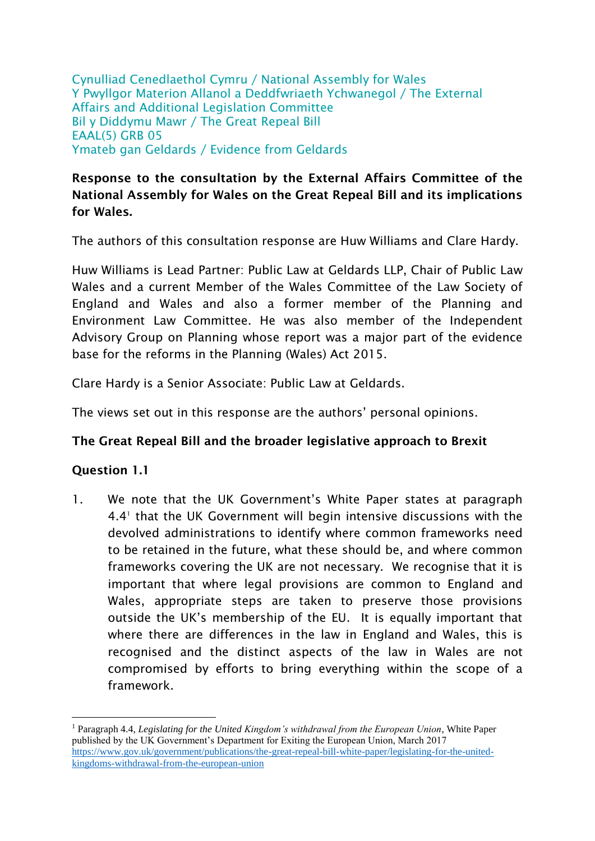Cynulliad Cenedlaethol Cymru / National Assembly for Wales Y Pwyllgor Materion Allanol a Deddfwriaeth Ychwanegol / The External Affairs and Additional Legislation Committee Bil y Diddymu Mawr / The Great Repeal Bill EAAL(5) GRB 05 Ymateb gan Geldards / Evidence from Geldards

## **Response to the consultation by the External Affairs Committee of the National Assembly for Wales on the Great Repeal Bill and its implications for Wales.**

The authors of this consultation response are Huw Williams and Clare Hardy.

Huw Williams is Lead Partner: Public Law at Geldards LLP, Chair of Public Law Wales and a current Member of the Wales Committee of the Law Society of England and Wales and also a former member of the Planning and Environment Law Committee. He was also member of the Independent Advisory Group on Planning whose report was a major part of the evidence base for the reforms in the Planning (Wales) Act 2015.

Clare Hardy is a Senior Associate: Public Law at Geldards.

The views set out in this response are the authors' personal opinions.

## **The Great Repeal Bill and the broader legislative approach to Brexit**

## **Question 1.1**

1

1. We note that the UK Government's White Paper states at paragraph 4.4<sup>1</sup> that the UK Government will begin intensive discussions with the devolved administrations to identify where common frameworks need to be retained in the future, what these should be, and where common frameworks covering the UK are not necessary. We recognise that it is important that where legal provisions are common to England and Wales, appropriate steps are taken to preserve those provisions outside the UK's membership of the EU. It is equally important that where there are differences in the law in England and Wales, this is recognised and the distinct aspects of the law in Wales are not compromised by efforts to bring everything within the scope of a framework.

<sup>1</sup> Paragraph 4.4, *Legislating for the United Kingdom's withdrawal from the European Union*, White Paper published by the UK Government's Department for Exiting the European Union, March 2017 [https://www.gov.uk/government/publications/the-great-repeal-bill-white-paper/legislating-for-the-united](https://www.gov.uk/government/publications/the-great-repeal-bill-white-paper/legislating-for-the-united-kingdoms-withdrawal-from-the-european-union)[kingdoms-withdrawal-from-the-european-union](https://www.gov.uk/government/publications/the-great-repeal-bill-white-paper/legislating-for-the-united-kingdoms-withdrawal-from-the-european-union)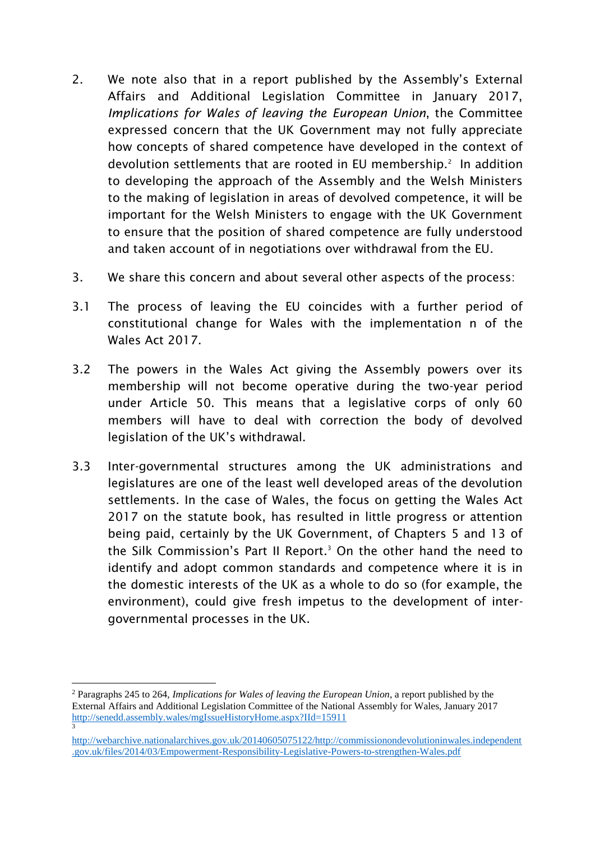- 2. We note also that in a report published by the Assembly's External Affairs and Additional Legislation Committee in January 2017, *Implications for Wales of leaving the European Union*, the Committee expressed concern that the UK Government may not fully appreciate how concepts of shared competence have developed in the context of devolution settlements that are rooted in EU membership.<sup>2</sup> In addition to developing the approach of the Assembly and the Welsh Ministers to the making of legislation in areas of devolved competence, it will be important for the Welsh Ministers to engage with the UK Government to ensure that the position of shared competence are fully understood and taken account of in negotiations over withdrawal from the EU.
- 3. We share this concern and about several other aspects of the process:
- 3.1 The process of leaving the EU coincides with a further period of constitutional change for Wales with the implementation n of the Wales Act 2017.
- 3.2 The powers in the Wales Act giving the Assembly powers over its membership will not become operative during the two-year period under Article 50. This means that a legislative corps of only 60 members will have to deal with correction the body of devolved legislation of the UK's withdrawal.
- 3.3 Inter-governmental structures among the UK administrations and legislatures are one of the least well developed areas of the devolution settlements. In the case of Wales, the focus on getting the Wales Act 2017 on the statute book, has resulted in little progress or attention being paid, certainly by the UK Government, of Chapters 5 and 13 of the Silk Commission's Part II Report.<sup>3</sup> On the other hand the need to identify and adopt common standards and competence where it is in the domestic interests of the UK as a whole to do so (for example, the environment), could give fresh impetus to the development of intergovernmental processes in the UK.

1

<sup>2</sup> Paragraphs 245 to 264, *Implications for Wales of leaving the European Union*, a report published by the External Affairs and Additional Legislation Committee of the National Assembly for Wales, January 2017 <http://senedd.assembly.wales/mgIssueHistoryHome.aspx?IId=15911> 3

[http://webarchive.nationalarchives.gov.uk/20140605075122/http://commissionondevolutioninwales.independent](http://webarchive.nationalarchives.gov.uk/20140605075122/http:/commissionondevolutioninwales.independent.gov.uk/files/2014/03/Empowerment-Responsibility-Legislative-Powers-to-strengthen-Wales.pdf) [.gov.uk/files/2014/03/Empowerment-Responsibility-Legislative-Powers-to-strengthen-Wales.pdf](http://webarchive.nationalarchives.gov.uk/20140605075122/http:/commissionondevolutioninwales.independent.gov.uk/files/2014/03/Empowerment-Responsibility-Legislative-Powers-to-strengthen-Wales.pdf)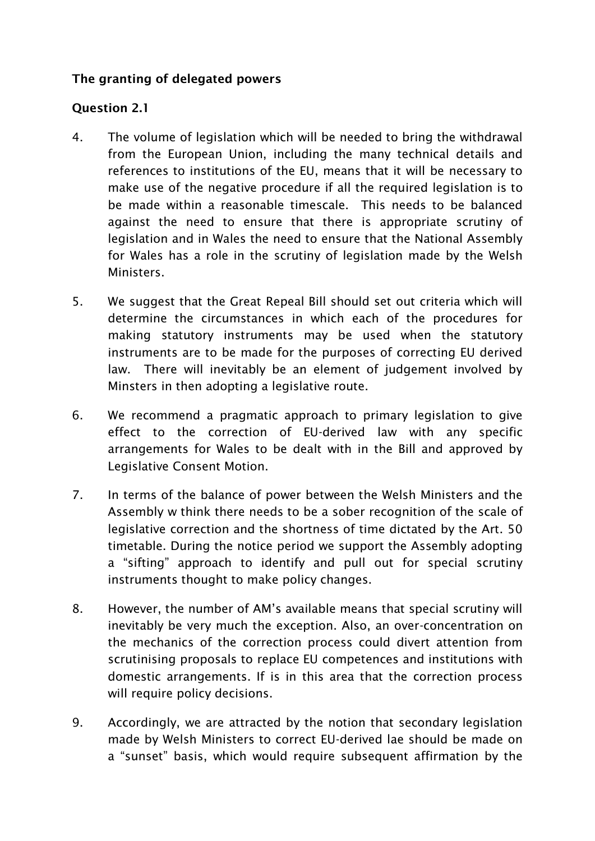## **The granting of delegated powers**

## **Question 2.1**

- 4. The volume of legislation which will be needed to bring the withdrawal from the European Union, including the many technical details and references to institutions of the EU, means that it will be necessary to make use of the negative procedure if all the required legislation is to be made within a reasonable timescale. This needs to be balanced against the need to ensure that there is appropriate scrutiny of legislation and in Wales the need to ensure that the National Assembly for Wales has a role in the scrutiny of legislation made by the Welsh Ministers.
- 5. We suggest that the Great Repeal Bill should set out criteria which will determine the circumstances in which each of the procedures for making statutory instruments may be used when the statutory instruments are to be made for the purposes of correcting EU derived law. There will inevitably be an element of judgement involved by Minsters in then adopting a legislative route.
- 6. We recommend a pragmatic approach to primary legislation to give effect to the correction of EU-derived law with any specific arrangements for Wales to be dealt with in the Bill and approved by Legislative Consent Motion.
- 7. In terms of the balance of power between the Welsh Ministers and the Assembly w think there needs to be a sober recognition of the scale of legislative correction and the shortness of time dictated by the Art. 50 timetable. During the notice period we support the Assembly adopting a "sifting" approach to identify and pull out for special scrutiny instruments thought to make policy changes.
- 8. However, the number of AM's available means that special scrutiny will inevitably be very much the exception. Also, an over-concentration on the mechanics of the correction process could divert attention from scrutinising proposals to replace EU competences and institutions with domestic arrangements. If is in this area that the correction process will require policy decisions.
- 9. Accordingly, we are attracted by the notion that secondary legislation made by Welsh Ministers to correct EU-derived lae should be made on a "sunset" basis, which would require subsequent affirmation by the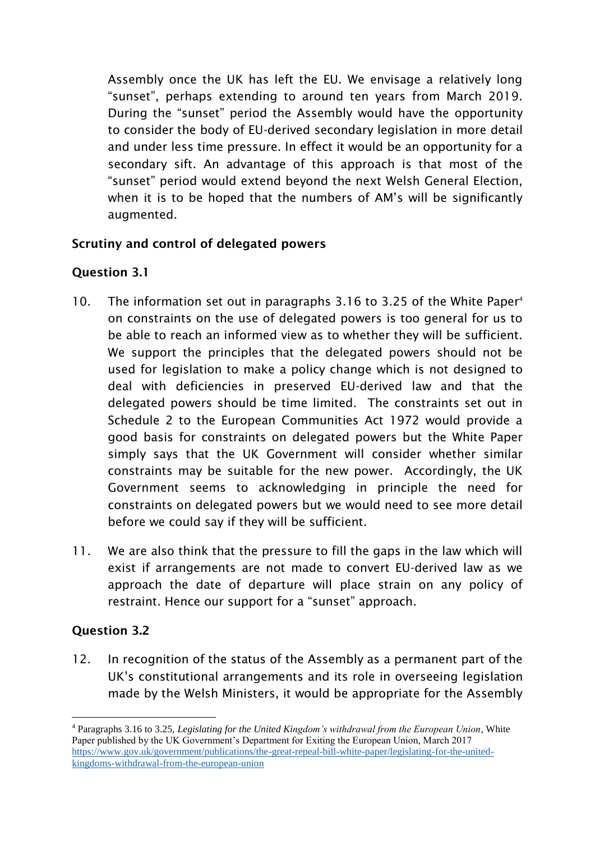Assembly once the UK has left the EU. We envisage a relatively long "sunset", perhaps extending to around ten years from March 2019. During the "sunset" period the Assembly would have the opportunity to consider the body of EU-derived secondary legislation in more detail and under less time pressure. In effect it would be an opportunity for a secondary sift. An advantage of this approach is that most of the "sunset" period would extend beyond the next Welsh General Election, when it is to be hoped that the numbers of AM's will be significantly augmented.

## **Scrutiny and control of delegated powers**

# **Question 3.1**

- 10. The information set out in paragraphs 3.16 to 3.25 of the White Paper<sup>4</sup> on constraints on the use of delegated powers is too general for us to be able to reach an informed view as to whether they will be sufficient. We support the principles that the delegated powers should not be used for legislation to make a policy change which is not designed to deal with deficiencies in preserved EU-derived law and that the delegated powers should be time limited. The constraints set out in Schedule 2 to the European Communities Act 1972 would provide a good basis for constraints on delegated powers but the White Paper simply says that the UK Government will consider whether similar constraints may be suitable for the new power. Accordingly, the UK Government seems to acknowledging in principle the need for constraints on delegated powers but we would need to see more detail before we could say if they will be sufficient.
- 11. We are also think that the pressure to fill the gaps in the law which will exist if arrangements are not made to convert EU-derived law as we approach the date of departure will place strain on any policy of restraint. Hence our support for a "sunset" approach.

## **Question 3.2**

1

12. In recognition of the status of the Assembly as a permanent part of the UK's constitutional arrangements and its role in overseeing legislation made by the Welsh Ministers, it would be appropriate for the Assembly

<sup>4</sup> Paragraphs 3.16 to 3.25, *Legislating for the United Kingdom's withdrawal from the European Union*, White Paper published by the UK Government's Department for Exiting the European Union, March 2017 [https://www.gov.uk/government/publications/the-great-repeal-bill-white-paper/legislating-for-the-united](https://www.gov.uk/government/publications/the-great-repeal-bill-white-paper/legislating-for-the-united-kingdoms-withdrawal-from-the-european-union)[kingdoms-withdrawal-from-the-european-union](https://www.gov.uk/government/publications/the-great-repeal-bill-white-paper/legislating-for-the-united-kingdoms-withdrawal-from-the-european-union)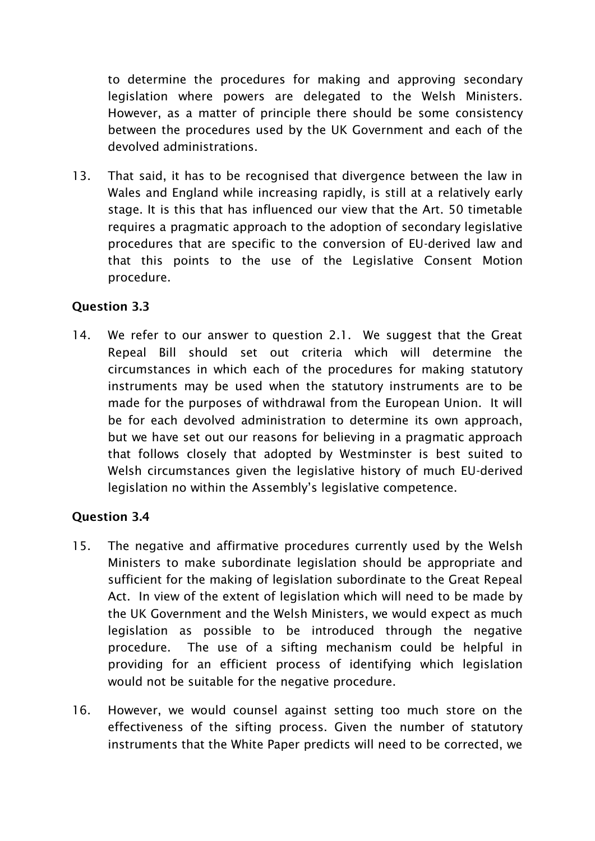to determine the procedures for making and approving secondary legislation where powers are delegated to the Welsh Ministers. However, as a matter of principle there should be some consistency between the procedures used by the UK Government and each of the devolved administrations.

13. That said, it has to be recognised that divergence between the law in Wales and England while increasing rapidly, is still at a relatively early stage. It is this that has influenced our view that the Art. 50 timetable requires a pragmatic approach to the adoption of secondary legislative procedures that are specific to the conversion of EU-derived law and that this points to the use of the Legislative Consent Motion procedure.

## **Question 3.3**

14. We refer to our answer to question 2.1. We suggest that the Great Repeal Bill should set out criteria which will determine the circumstances in which each of the procedures for making statutory instruments may be used when the statutory instruments are to be made for the purposes of withdrawal from the European Union. It will be for each devolved administration to determine its own approach, but we have set out our reasons for believing in a pragmatic approach that follows closely that adopted by Westminster is best suited to Welsh circumstances given the legislative history of much EU-derived legislation no within the Assembly's legislative competence.

## **Question 3.4**

- 15. The negative and affirmative procedures currently used by the Welsh Ministers to make subordinate legislation should be appropriate and sufficient for the making of legislation subordinate to the Great Repeal Act. In view of the extent of legislation which will need to be made by the UK Government and the Welsh Ministers, we would expect as much legislation as possible to be introduced through the negative procedure. The use of a sifting mechanism could be helpful in providing for an efficient process of identifying which legislation would not be suitable for the negative procedure.
- 16. However, we would counsel against setting too much store on the effectiveness of the sifting process. Given the number of statutory instruments that the White Paper predicts will need to be corrected, we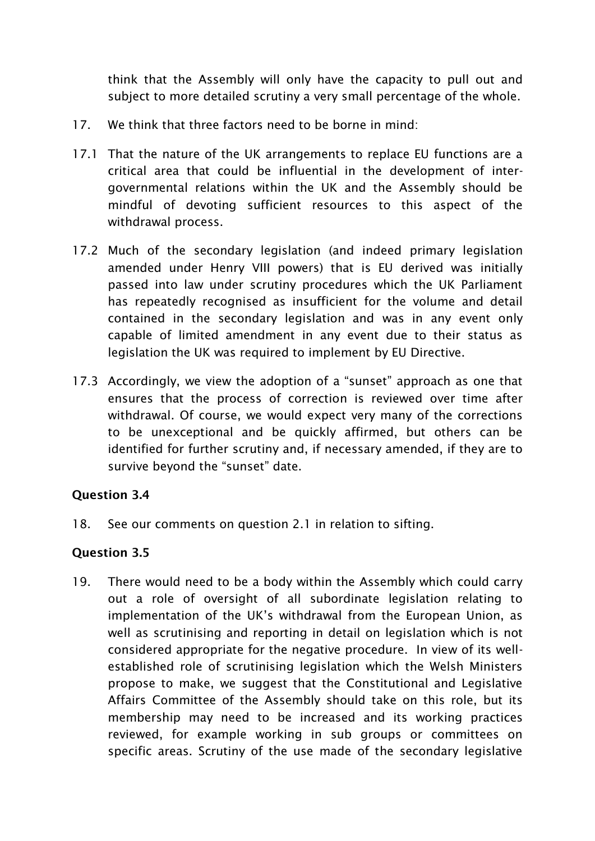think that the Assembly will only have the capacity to pull out and subject to more detailed scrutiny a very small percentage of the whole.

- 17. We think that three factors need to be borne in mind:
- 17.1 That the nature of the UK arrangements to replace EU functions are a critical area that could be influential in the development of intergovernmental relations within the UK and the Assembly should be mindful of devoting sufficient resources to this aspect of the withdrawal process.
- 17.2 Much of the secondary legislation (and indeed primary legislation amended under Henry VIII powers) that is EU derived was initially passed into law under scrutiny procedures which the UK Parliament has repeatedly recognised as insufficient for the volume and detail contained in the secondary legislation and was in any event only capable of limited amendment in any event due to their status as legislation the UK was required to implement by EU Directive.
- 17.3 Accordingly, we view the adoption of a "sunset" approach as one that ensures that the process of correction is reviewed over time after withdrawal. Of course, we would expect very many of the corrections to be unexceptional and be quickly affirmed, but others can be identified for further scrutiny and, if necessary amended, if they are to survive beyond the "sunset" date.

#### **Question 3.4**

18. See our comments on question 2.1 in relation to sifting.

## **Question 3.5**

19. There would need to be a body within the Assembly which could carry out a role of oversight of all subordinate legislation relating to implementation of the UK's withdrawal from the European Union, as well as scrutinising and reporting in detail on legislation which is not considered appropriate for the negative procedure. In view of its wellestablished role of scrutinising legislation which the Welsh Ministers propose to make, we suggest that the Constitutional and Legislative Affairs Committee of the Assembly should take on this role, but its membership may need to be increased and its working practices reviewed, for example working in sub groups or committees on specific areas. Scrutiny of the use made of the secondary legislative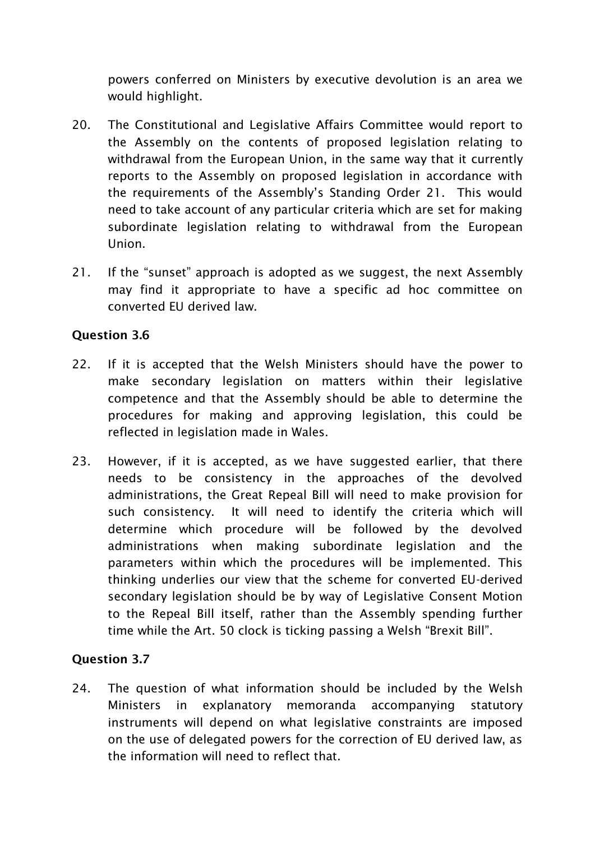powers conferred on Ministers by executive devolution is an area we would highlight.

- 20. The Constitutional and Legislative Affairs Committee would report to the Assembly on the contents of proposed legislation relating to withdrawal from the European Union, in the same way that it currently reports to the Assembly on proposed legislation in accordance with the requirements of the Assembly's Standing Order 21. This would need to take account of any particular criteria which are set for making subordinate legislation relating to withdrawal from the European Union.
- 21. If the "sunset" approach is adopted as we suggest, the next Assembly may find it appropriate to have a specific ad hoc committee on converted EU derived law.

#### **Question 3.6**

- 22. If it is accepted that the Welsh Ministers should have the power to make secondary legislation on matters within their legislative competence and that the Assembly should be able to determine the procedures for making and approving legislation, this could be reflected in legislation made in Wales.
- 23. However, if it is accepted, as we have suggested earlier, that there needs to be consistency in the approaches of the devolved administrations, the Great Repeal Bill will need to make provision for such consistency. It will need to identify the criteria which will determine which procedure will be followed by the devolved administrations when making subordinate legislation and the parameters within which the procedures will be implemented. This thinking underlies our view that the scheme for converted EU-derived secondary legislation should be by way of Legislative Consent Motion to the Repeal Bill itself, rather than the Assembly spending further time while the Art. 50 clock is ticking passing a Welsh "Brexit Bill".

## **Question 3.7**

24. The question of what information should be included by the Welsh Ministers in explanatory memoranda accompanying statutory instruments will depend on what legislative constraints are imposed on the use of delegated powers for the correction of EU derived law, as the information will need to reflect that.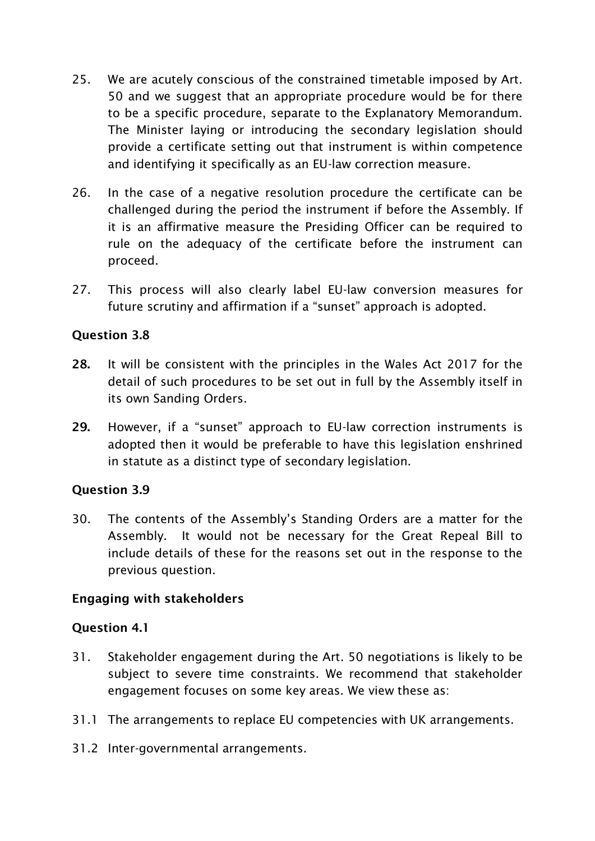- 25. We are acutely conscious of the constrained timetable imposed by Art. 50 and we suggest that an appropriate procedure would be for there to be a specific procedure, separate to the Explanatory Memorandum. The Minister laying or introducing the secondary legislation should provide a certificate setting out that instrument is within competence and identifying it specifically as an EU-law correction measure.
- 26. In the case of a negative resolution procedure the certificate can be challenged during the period the instrument if before the Assembly. If it is an affirmative measure the Presiding Officer can be required to rule on the adequacy of the certificate before the instrument can proceed.
- 27. This process will also clearly label EU-law conversion measures for future scrutiny and affirmation if a "sunset" approach is adopted.

#### **Question 3.8**

- **28.** It will be consistent with the principles in the Wales Act 2017 for the detail of such procedures to be set out in full by the Assembly itself in its own Sanding Orders.
- **29.** However, if a "sunset" approach to EU-law correction instruments is adopted then it would be preferable to have this legislation enshrined in statute as a distinct type of secondary legislation.

#### **Question 3.9**

30. The contents of the Assembly's Standing Orders are a matter for the Assembly. It would not be necessary for the Great Repeal Bill to include details of these for the reasons set out in the response to the previous question.

#### **Engaging with stakeholders**

#### **Question 4.1**

- 31. Stakeholder engagement during the Art. 50 negotiations is likely to be subject to severe time constraints. We recommend that stakeholder engagement focuses on some key areas. We view these as:
- 31.1 The arrangements to replace EU competencies with UK arrangements.
- 31.2 Inter-governmental arrangements.